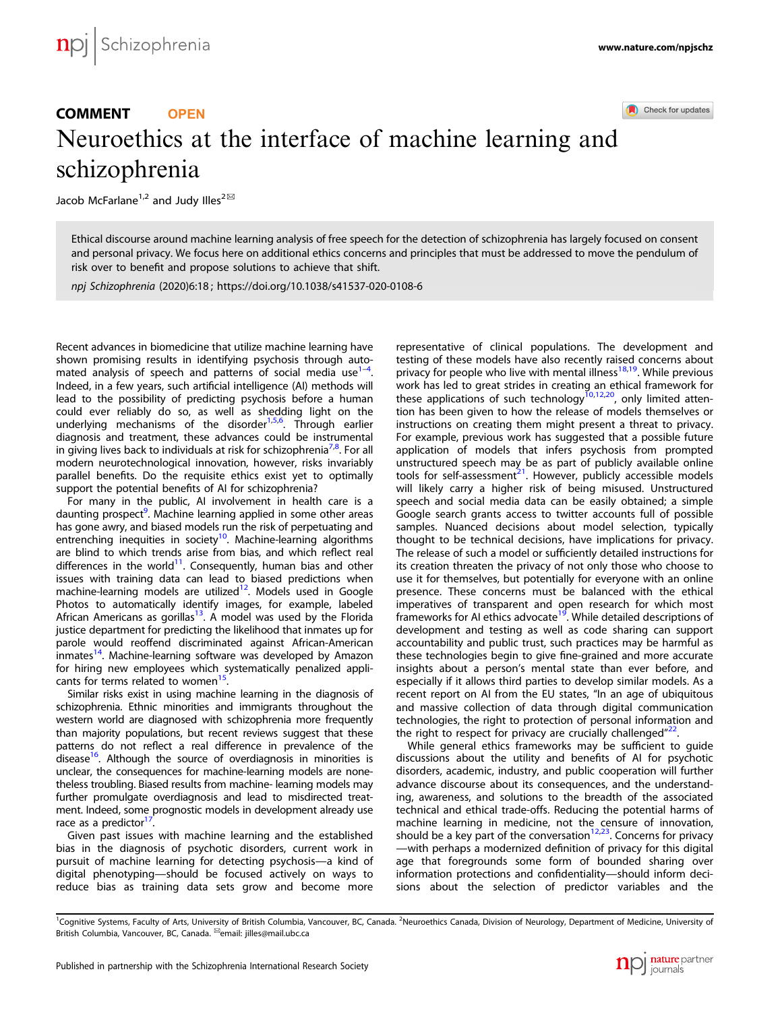# COMMENT **OPEN**

Check for updates

# Neuroethics at the interface of machine learning and schizophrenia

Jacob McFarlane<sup>1,2</sup> and Judy Illes<sup>2 $\boxtimes$ </sup>

Ethical discourse around machine learning analysis of free speech for the detection of schizophrenia has largely focused on consent and personal privacy. We focus here on additional ethics concerns and principles that must be addressed to move the pendulum of risk over to benefit and propose solutions to achieve that shift.

npj Schizophrenia (2020)6:18 ; https://doi.org/10.1038/s41537-020-0108-6

Recent advances in biomedicine that utilize machine learning have shown promising results in identifying psychosis through automated analysis of speech and patterns of social media use  $\frac{1}{4}$ . . Indeed, in a few years, such artificial intelligence (AI) methods will lead to the possibility of predicting psychosis before a human could ever reliably do so, as well as shedding light on the underlying mechanisms of the disorder<sup>1,5,6</sup>. Through earlier diagnosis and treatment, these advances could be instrumental in giving lives back to individuals at risk for schizophrenia<sup>7,8</sup>. For all modern neurotechnological innovation, however, risks invariably parallel benefits. Do the requisite ethics exist yet to optimally support the potential benefits of AI for schizophrenia?

For many in the public, AI involvement in health care is a daunting prospect<sup>9</sup>. Machine learning applied in some other areas has gone awry, and biased models run the risk of perpetuating and entrenching inequities in society<sup>10</sup>. Machine-learning algorithms are blind to which trends arise from bias, and which reflect real differences in the world $11$ . Consequently, human bias and other issues with training data can lead to biased predictions when machine-learning models are utilized<sup>12</sup>. Models used in Google Photos to automatically identify images, for example, labeled African Americans as gorillas<sup>13</sup>. A model was used by the Florida justice department for predicting the likelihood that inmates up for parole would reoffend discriminated against African-American inmates<sup>14</sup>. Machine-learning software was developed by Amazon for hiring new employees which systematically penalized applicants for terms related to women<sup>15</sup>.

Similar risks exist in using machine learning in the diagnosis of schizophrenia. Ethnic minorities and immigrants throughout the western world are diagnosed with schizophrenia more frequently than majority populations, but recent reviews suggest that these patterns do not reflect a real difference in prevalence of the disease $16$ . Although the source of overdiagnosis in minorities is unclear, the consequences for machine-learning models are nonetheless troubling. Biased results from machine- learning models may further promulgate overdiagnosis and lead to misdirected treatment. Indeed, some prognostic models in development already use race as a predictor $1'$ .

Given past issues with machine learning and the established bias in the diagnosis of psychotic disorders, current work in pursuit of machine learning for detecting psychosis—a kind of digital phenotyping—should be focused actively on ways to reduce bias as training data sets grow and become more

representative of clinical populations. The development and testing of these models have also recently raised concerns about privacy for people who live with mental illness<sup>18,19</sup>. While previous work has led to great strides in creating an ethical framework for<br>these applications of such technology<sup>10,12,20</sup>, only limited attention has been given to how the release of models themselves or instructions on creating them might present a threat to privacy. For example, previous work has suggested that a possible future application of models that infers psychosis from prompted unstructured speech may be as part of publicly available online tools for self-assessment $^{21}$ . However, publicly accessible models will likely carry a higher risk of being misused. Unstructured speech and social media data can be easily obtained; a simple Google search grants access to twitter accounts full of possible samples. Nuanced decisions about model selection, typically thought to be technical decisions, have implications for privacy. The release of such a model or sufficiently detailed instructions for its creation threaten the privacy of not only those who choose to use it for themselves, but potentially for everyone with an online presence. These concerns must be balanced with the ethical imperatives of transparent and open research for which most frameworks for AI ethics advocate<sup>19</sup>. While detailed descriptions of development and testing as well as code sharing can support accountability and public trust, such practices may be harmful as these technologies begin to give fine-grained and more accurate insights about a person's mental state than ever before, and especially if it allows third parties to develop similar models. As a recent report on AI from the EU states, "In an age of ubiquitous and massive collection of data through digital communication technologies, the right to protection of personal information and the right to respect for privacy are crucially challenged"<sup>22</sup>.

While general ethics frameworks may be sufficient to guide discussions about the utility and benefits of AI for psychotic disorders, academic, industry, and public cooperation will further advance discourse about its consequences, and the understanding, awareness, and solutions to the breadth of the associated technical and ethical trade-offs. Reducing the potential harms of machine learning in medicine, not the censure of innovation, should be a key part of the conversation<sup>12,23</sup>. Concerns for privacy —with perhaps a modernized definition of privacy for this digital age that foregrounds some form of bounded sharing over information protections and confidentiality—should inform decisions about the selection of predictor variables and the

<sup>&</sup>lt;sup>1</sup>Cognitive Systems, Faculty of Arts, University of British Columbia, Vancouver, BC, Canada. <sup>2</sup>Neuroethics Canada, Division of Neurology, Department of Medicine, University of British Columbia, Vancouver, BC, Canada. ✉email: jilles@mail.ubc.ca